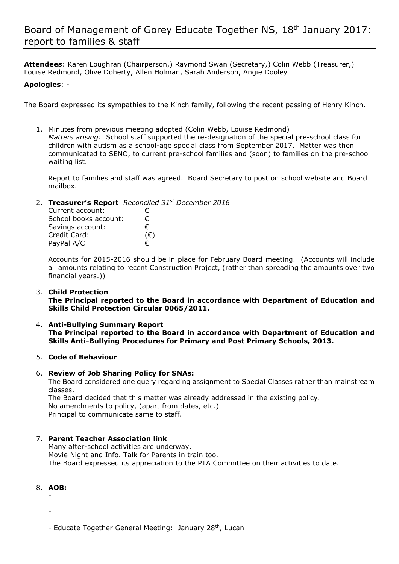# Board of Management of Gorey Educate Together NS, 18th January 2017: report to families & staff

**Attendees**: Karen Loughran (Chairperson,) Raymond Swan (Secretary,) Colin Webb (Treasurer,) Louise Redmond, Olive Doherty, Allen Holman, Sarah Anderson, Angie Dooley

### **Apologies**: -

The Board expressed its sympathies to the Kinch family, following the recent passing of Henry Kinch.

1. Minutes from previous meeting adopted (Colin Webb, Louise Redmond) *Matters arising:* School staff supported the re-designation of the special pre-school class for children with autism as a school-age special class from September 2017. Matter was then communicated to SENO, to current pre-school families and (soon) to families on the pre-school waiting list.

Report to families and staff was agreed. Board Secretary to post on school website and Board mailbox.

2. **Treasurer's Report** *Reconciled 31st December 2016*

| Current account:      | €            |
|-----------------------|--------------|
| School books account: | €            |
| Savings account:      | €            |
| Credit Card:          | $(\epsilon)$ |
| PayPal A/C            | €            |

Accounts for 2015-2016 should be in place for February Board meeting. (Accounts will include all amounts relating to recent Construction Project, (rather than spreading the amounts over two financial years.))

#### 3. **Child Protection**

**The Principal reported to the Board in accordance with Department of Education and Skills Child Protection Circular 0065/2011.**

- 4. **Anti-Bullying Summary Report The Principal reported to the Board in accordance with Department of Education and Skills Anti-Bullying Procedures for Primary and Post Primary Schools, 2013.**
- 5. **Code of Behaviour**

#### 6. **Review of Job Sharing Policy for SNAs:**

The Board considered one query regarding assignment to Special Classes rather than mainstream classes.

The Board decided that this matter was already addressed in the existing policy. No amendments to policy, (apart from dates, etc.) Principal to communicate same to staff.

## 7. **Parent Teacher Association link**

Many after-school activities are underway. Movie Night and Info. Talk for Parents in train too. The Board expressed its appreciation to the PTA Committee on their activities to date.

- 8. **AOB:**
	- -

- Educate Together General Meeting: January 28<sup>th</sup>, Lucan